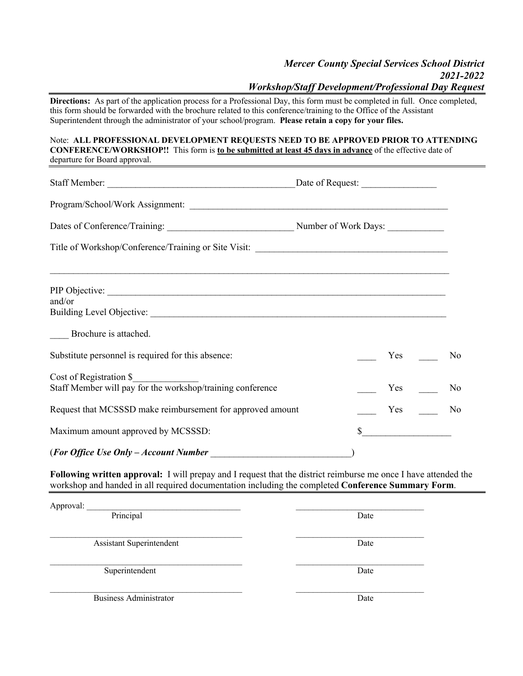## *Mercer County Special Services School District 2021-2022 Workshop/Staff Development/Professional Day Request* **Directions:** As part of the application process for a Professional Day, this form must be completed in full. Once completed, this form should be forwarded with the brochure related to this conference/training to the Office of the Assistant Superintendent through the administrator of your school/program. **Please retain a copy for your files.** Note: **ALL PROFESSIONAL DEVELOPMENT REQUESTS NEED TO BE APPROVED PRIOR TO ATTENDING CONFERENCE/WORKSHOP!!** This form is **to be submitted at least 45 days in advance** of the effective date of departure for Board approval. Staff Member: \_\_\_\_\_\_\_\_\_\_\_\_\_\_\_\_\_\_\_\_\_\_\_\_\_\_\_\_\_\_\_\_\_\_\_\_\_\_\_\_Date of Request: \_\_\_\_\_\_\_\_\_\_\_\_\_\_\_\_ Program/School/Work Assignment: \_\_\_\_\_\_\_\_\_\_\_\_\_\_\_\_\_\_\_\_\_\_\_\_\_\_\_\_\_\_\_\_\_\_\_\_\_\_\_\_\_\_\_\_\_\_\_\_\_\_\_\_\_\_\_ Dates of Conference/Training: \_\_\_\_\_\_\_\_\_\_\_\_\_\_\_\_\_\_\_\_\_\_\_\_\_\_\_ Number of Work Days: \_\_\_\_\_\_\_\_\_\_\_\_ Title of Workshop/Conference/Training or Site Visit:  $\mathcal{L}_\mathcal{L} = \{ \mathcal{L}_\mathcal{L} = \{ \mathcal{L}_\mathcal{L} = \{ \mathcal{L}_\mathcal{L} = \{ \mathcal{L}_\mathcal{L} = \{ \mathcal{L}_\mathcal{L} = \{ \mathcal{L}_\mathcal{L} = \{ \mathcal{L}_\mathcal{L} = \{ \mathcal{L}_\mathcal{L} = \{ \mathcal{L}_\mathcal{L} = \{ \mathcal{L}_\mathcal{L} = \{ \mathcal{L}_\mathcal{L} = \{ \mathcal{L}_\mathcal{L} = \{ \mathcal{L}_\mathcal{L} = \{ \mathcal{L}_\mathcal{$ PIP Objective: and/or Building Level Objective: \_\_\_\_ Brochure is attached. Substitute personnel is required for this absence:  $\begin{array}{ccc} \hline \text{Y} & \text{Y} & \text{Y} \\ \hline \end{array}$ Cost of Registration \$\_\_\_\_\_\_\_\_\_\_\_\_\_\_ Staff Member will pay for the workshop/training conference The Ves The Yes No Request that MCSSSD make reimbursement for approved amount The Ves The Ves No Maximum amount approved by MCSSSD:  $\sim$ (*For Office Use Only – Account Number* \_\_\_\_\_\_\_\_\_\_\_\_\_\_\_\_\_\_\_\_\_\_\_\_\_\_\_\_\_\_)

**Following written approval:** I will prepay and I request that the district reimburse me once I have attended the workshop and handed in all required documentation including the completed **Conference Summary Form**.

Approval: Principal Date Date  $\mathcal{L}_\mathcal{L} = \{ \mathcal{L}_\mathcal{L} = \{ \mathcal{L}_\mathcal{L} = \{ \mathcal{L}_\mathcal{L} = \{ \mathcal{L}_\mathcal{L} = \{ \mathcal{L}_\mathcal{L} = \{ \mathcal{L}_\mathcal{L} = \{ \mathcal{L}_\mathcal{L} = \{ \mathcal{L}_\mathcal{L} = \{ \mathcal{L}_\mathcal{L} = \{ \mathcal{L}_\mathcal{L} = \{ \mathcal{L}_\mathcal{L} = \{ \mathcal{L}_\mathcal{L} = \{ \mathcal{L}_\mathcal{L} = \{ \mathcal{L}_\mathcal{$ Assistant Superintendent Date Superintendent Date Business Administrator Date **Date**